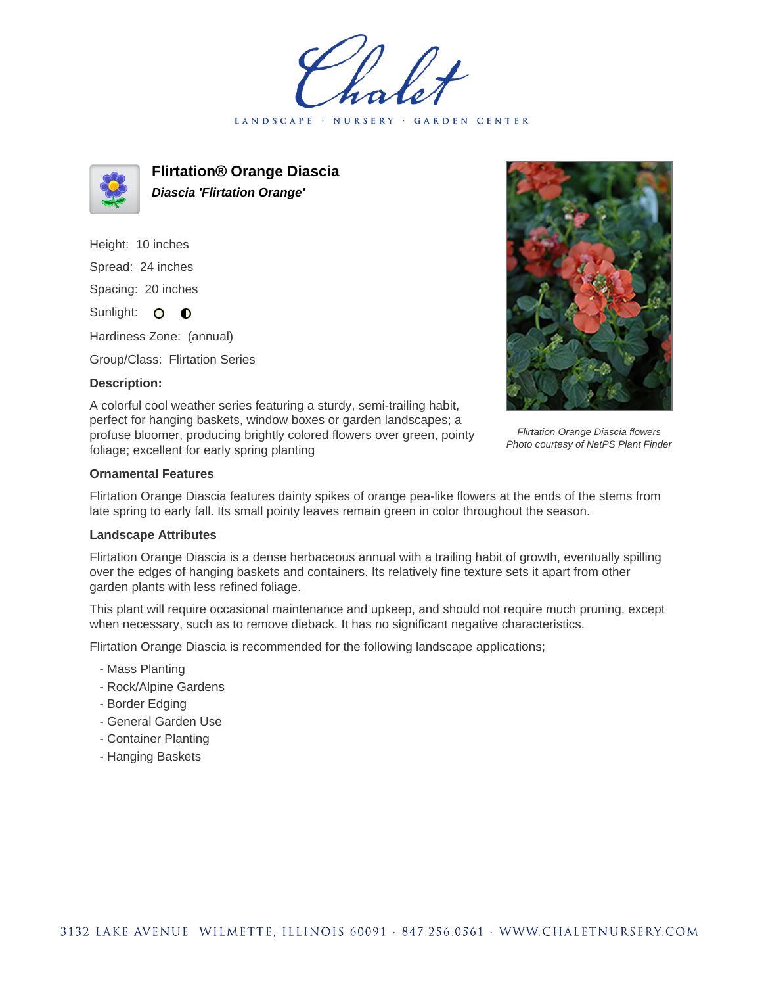LANDSCAPE · NURSERY GARDEN CENTER



**Flirtation® Orange Diascia Diascia 'Flirtation Orange'**

Height: 10 inches Spread: 24 inches Spacing: 20 inches Sunlight: O **O** 

Hardiness Zone: (annual)

Group/Class: Flirtation Series

## **Description:**



Flirtation Orange Diascia flowers Photo courtesy of NetPS Plant Finder

A colorful cool weather series featuring a sturdy, semi-trailing habit, perfect for hanging baskets, window boxes or garden landscapes; a profuse bloomer, producing brightly colored flowers over green, pointy foliage; excellent for early spring planting

## **Ornamental Features**

Flirtation Orange Diascia features dainty spikes of orange pea-like flowers at the ends of the stems from late spring to early fall. Its small pointy leaves remain green in color throughout the season.

## **Landscape Attributes**

Flirtation Orange Diascia is a dense herbaceous annual with a trailing habit of growth, eventually spilling over the edges of hanging baskets and containers. Its relatively fine texture sets it apart from other garden plants with less refined foliage.

This plant will require occasional maintenance and upkeep, and should not require much pruning, except when necessary, such as to remove dieback. It has no significant negative characteristics.

Flirtation Orange Diascia is recommended for the following landscape applications;

- Mass Planting
- Rock/Alpine Gardens
- Border Edging
- General Garden Use
- Container Planting
- Hanging Baskets